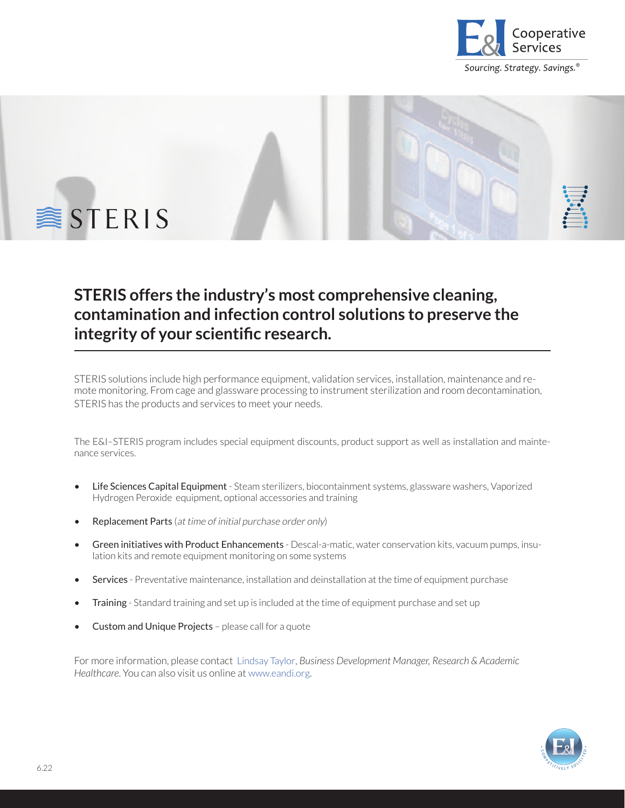

Sourcing. Strategy. Savings.<sup>®</sup>



## **STERIS offers the industry's most comprehensive cleaning, contamination and infection control solutions to preserve the integrity of your scientific research.**

STERIS solutions include high performance equipment, validation services, installation, maintenance and remote monitoring. From cage and glassware processing to instrument sterilization and room decontamination, STERIS has the products and services to meet your needs.

The E&I–STERIS program includes special equipment discounts, product support as well as installation and maintenance services.

- Life Sciences Capital Equipment Steam sterilizers, biocontainment systems, glassware washers, Vaporized Hydrogen Peroxide equipment, optional accessories and training
- Replacement Parts (at time of initial purchase order only)
- Green initiatives with Product Enhancements Descal-a-matic, water conservation kits, vacuum pumps, insulation kits and remote equipment monitoring on some systems
- Services Preventative maintenance, installation and deinstallation at the time of equipment purchase
- **Training** Standard training and set up is included at the time of equipment purchase and set up
- Custom and Unique Projects please call for a quote

For more information, please contact [Lindsay Taylor](mailto:ltaylor%40eandi.org?subject=), *Business Development Manager, Research & Academic Healthcare*. You can also visit us online at [www.eandi.org.](https://www.eandi.org/contracts/steris/)